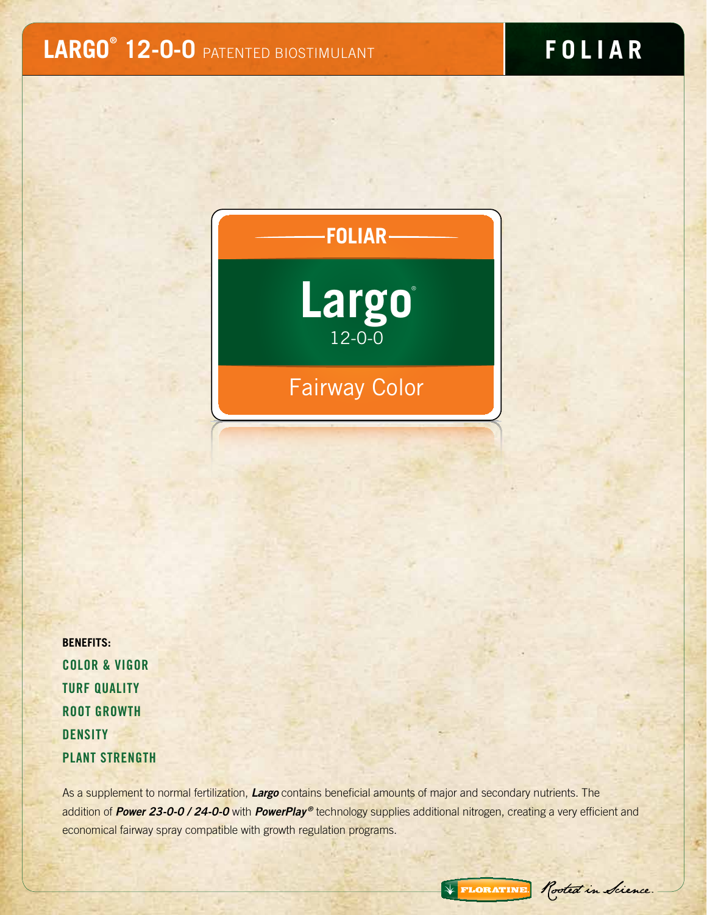# **LARGO® 12-0-0** PATENTED BIOSTIMULANT

# **F O L IAR**



**BENEFITS:**  Color & Vigor **TURF QUALITY** Root Growth **DENSITY** Plant Strength

As a supplement to normal fertilization, *Largo* contains beneficial amounts of major and secondary nutrients. The addition of **Power 23-0-0 / 24-0-0** with **PowerPlay<sup>®</sup>** technology supplies additional nitrogen, creating a very efficient and economical fairway spray compatible with growth regulation programs.

\* FLORATINE Rooted in Science.